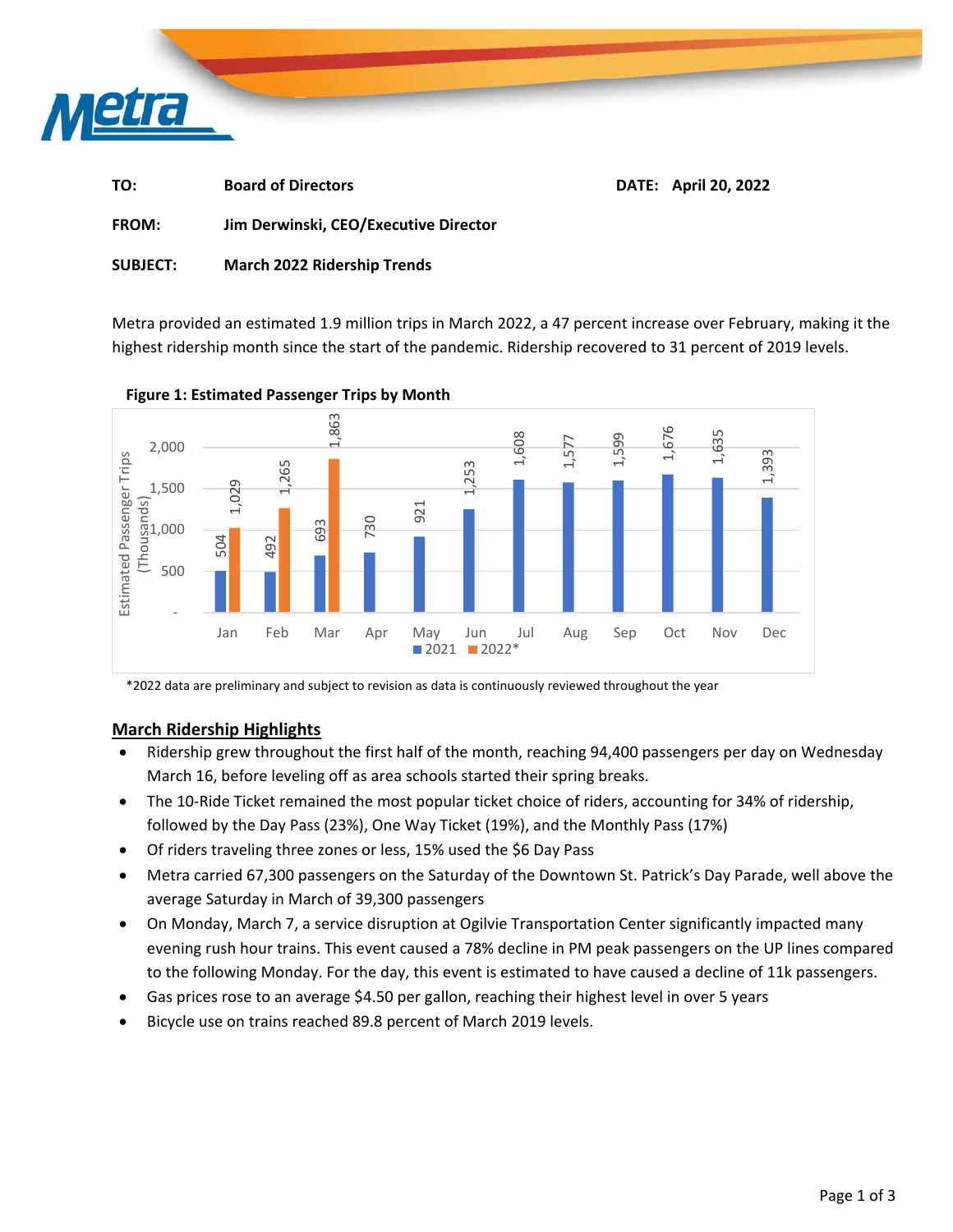

| TO: | <b>Board of Directors</b> | DATE: April 20, 2022 |
|-----|---------------------------|----------------------|
|     |                           |                      |

**FROM: Jim Derwinski, CEO/Executive Director** 

**SUBJECT: March 2022 Ridership Trends** 

Metra provided an estimated 1.9 million trips in March 2022, a 47 percent increase over February, making it the highest ridership month since the start of the pandemic. Ridership recovered to 31 percent of 2019 levels.



**Figure 1: Estimated Passenger Trips by Month** 

\*2022 data are preliminary and subject to revision as data is continuously reviewed throughout the year

### **March Ridership Highlights**

- Ridership grew throughout the first half of the month, reaching 94,400 passengers per day on Wednesday March 16, before leveling off as area schools started their spring breaks.
- The 10-Ride Ticket remained the most popular ticket choice of riders, accounting for 34% of ridership, followed by the Day Pass (23%), One Way Ticket (19%), and the Monthly Pass (17%)
- Of riders traveling three zones or less, 15% used the \$6 Day Pass
- Metra carried 67,300 passengers on the Saturday of the Downtown St. Patrick's Day Parade, well above the average Saturday in March of 39,300 passengers
- On Monday, March 7, a service disruption at Ogilvie Transportation Center significantly impacted many evening rush hour trains. This event caused a 78% decline in PM peak passengers on the UP lines compared to the following Monday. For the day, this event is estimated to have caused a decline of 11k passengers.
- Gas prices rose to an average \$4.50 per gallon, reaching their highest level in over 5 years
-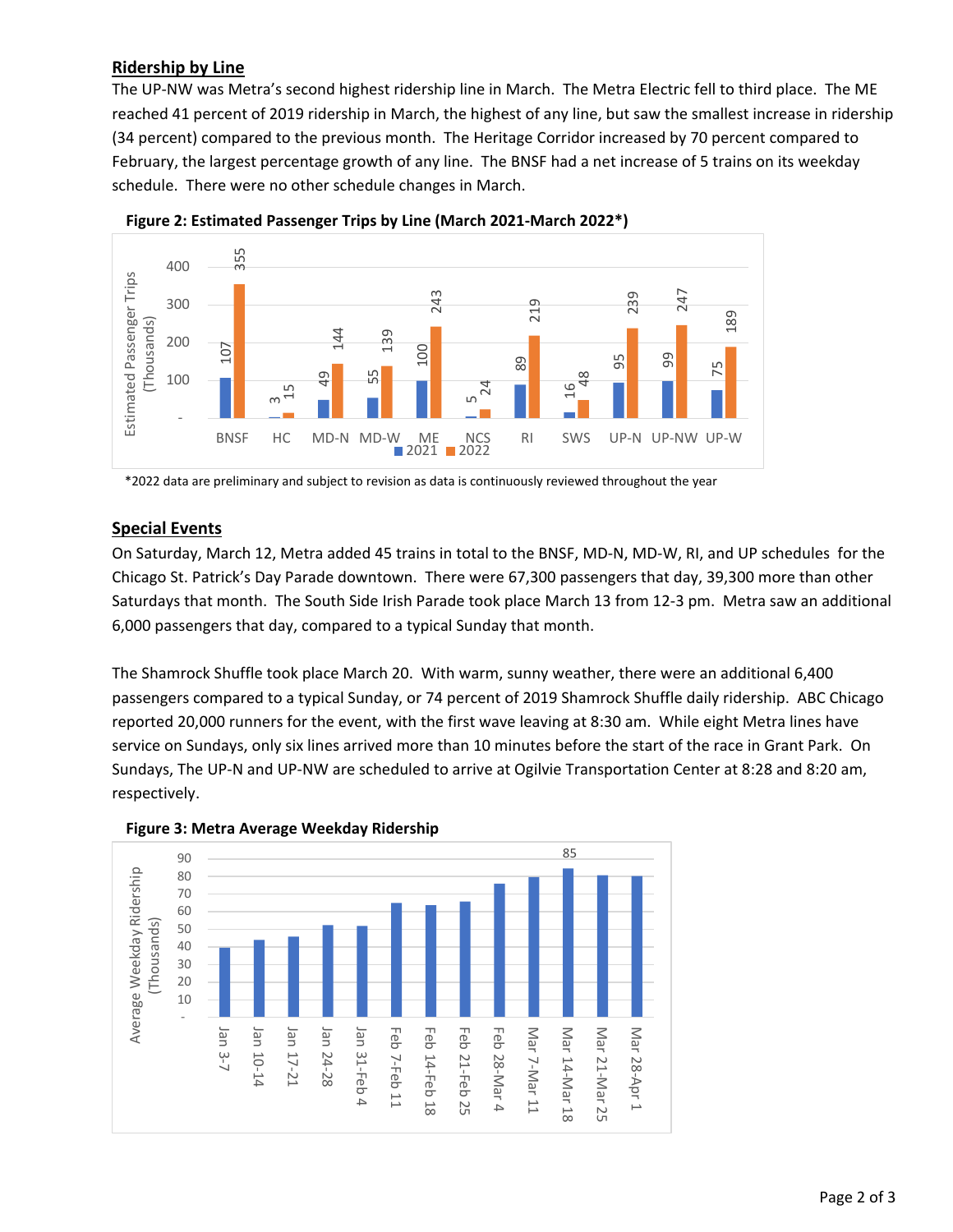# **Ridership by Line**

The UP‐NW was Metra's second highest ridership line in March. The Metra Electric fell to third place. The ME reached 41 percent of 2019 ridership in March, the highest of any line, but saw the smallest increase in ridership (34 percent) compared to the previous month. The Heritage Corridor increased by 70 percent compared to February, the largest percentage growth of any line. The BNSF had a net increase of 5 trains on its weekday schedule. There were no other schedule changes in March.





\*2022 data are preliminary and subject to revision as data is continuously reviewed throughout the year

### **Special Events**

On Saturday, March 12, Metra added 45 trains in total to the BNSF, MD‐N, MD‐W, RI, and UP schedules for the Chicago St. Patrick's Day Parade downtown. There were 67,300 passengers that day, 39,300 more than other Saturdays that month. The South Side Irish Parade took place March 13 from 12‐3 pm. Metra saw an additional 6,000 passengers that day, compared to a typical Sunday that month.

The Shamrock Shuffle took place March 20. With warm, sunny weather, there were an additional 6,400 passengers compared to a typical Sunday, or 74 percent of 2019 Shamrock Shuffle daily ridership. ABC Chicago reported 20,000 runners for the event, with the first wave leaving at 8:30 am. While eight Metra lines have service on Sundays, only six lines arrived more than 10 minutes before the start of the race in Grant Park. On Sundays, The UP‐N and UP‐NW are scheduled to arrive at Ogilvie Transportation Center at 8:28 and 8:20 am, respectively.